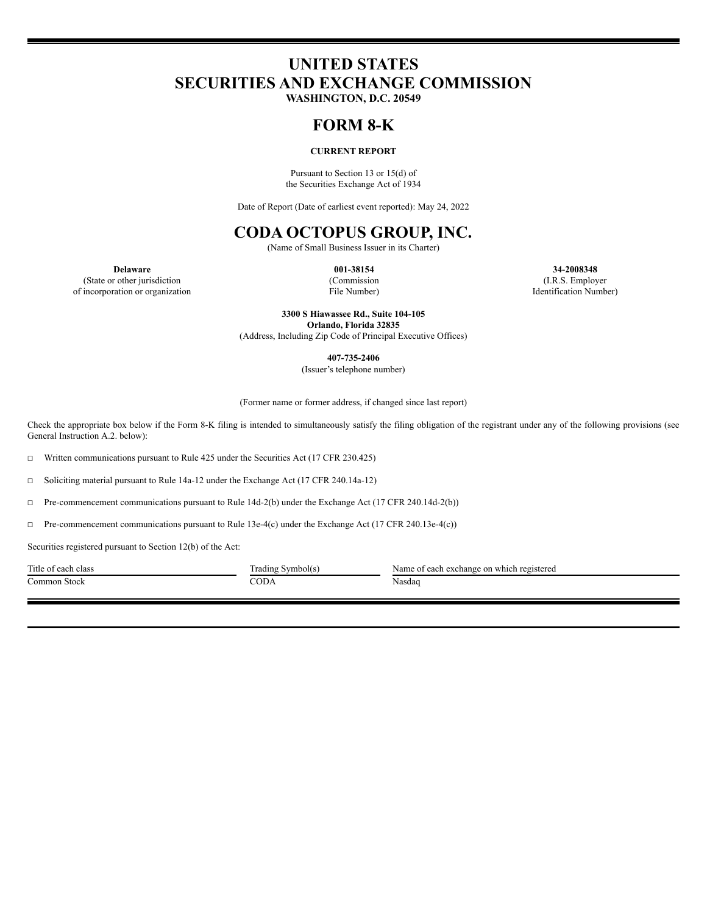# **UNITED STATES SECURITIES AND EXCHANGE COMMISSION**

**WASHINGTON, D.C. 20549**

# **FORM 8-K**

## **CURRENT REPORT**

Pursuant to Section 13 or 15(d) of the Securities Exchange Act of 1934

Date of Report (Date of earliest event reported): May 24, 2022

# **CODA OCTOPUS GROUP, INC.**

(Name of Small Business Issuer in its Charter)

(State or other jurisdiction

(Commission File Number)

**Delaware 001-38154 34-2008348** (I.R.S. Employer Identification Number)

of incorporation or organization

**3300 S Hiawassee Rd., Suite 104-105 Orlando, Florida 32835** (Address, Including Zip Code of Principal Executive Offices)

**407-735-2406**

(Issuer's telephone number)

(Former name or former address, if changed since last report)

Check the appropriate box below if the Form 8-K filing is intended to simultaneously satisfy the filing obligation of the registrant under any of the following provisions (see General Instruction A.2. below):

☐ Written communications pursuant to Rule 425 under the Securities Act (17 CFR 230.425)

☐ Soliciting material pursuant to Rule 14a-12 under the Exchange Act (17 CFR 240.14a-12)

☐ Pre-commencement communications pursuant to Rule 14d-2(b) under the Exchange Act (17 CFR 240.14d-2(b))

☐ Pre-commencement communications pursuant to Rule 13e-4(c) under the Exchange Act (17 CFR 240.13e-4(c))

Securities registered pursuant to Section 12(b) of the Act:

Common Stock CODA Nasdaq

Title of each class Trading Symbol(s) Name of each exchange on which registered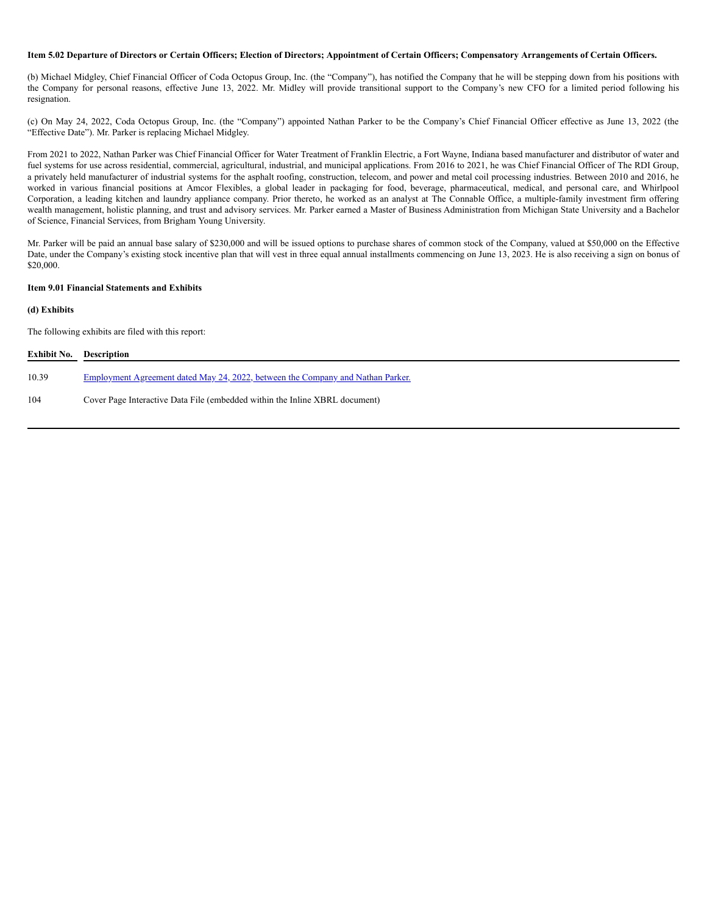#### Item 5.02 Departure of Directors or Certain Officers; Election of Directors; Appointment of Certain Officers; Compensatory Arrangements of Certain Officers.

(b) Michael Midgley, Chief Financial Officer of Coda Octopus Group, Inc. (the "Company"), has notified the Company that he will be stepping down from his positions with the Company for personal reasons, effective June 13, 2022. Mr. Midley will provide transitional support to the Company's new CFO for a limited period following his resignation.

(c) On May 24, 2022, Coda Octopus Group, Inc. (the "Company") appointed Nathan Parker to be the Company's Chief Financial Officer effective as June 13, 2022 (the "Effective Date"). Mr. Parker is replacing Michael Midgley.

From 2021 to 2022, Nathan Parker was Chief Financial Officer for Water Treatment of Franklin Electric, a Fort Wayne, Indiana based manufacturer and distributor of water and fuel systems for use across residential, commercial, agricultural, industrial, and municipal applications. From 2016 to 2021, he was Chief Financial Officer of The RDI Group, a privately held manufacturer of industrial systems for the asphalt roofing, construction, telecom, and power and metal coil processing industries. Between 2010 and 2016, he worked in various financial positions at Amcor Flexibles, a global leader in packaging for food, beverage, pharmaceutical, medical, and personal care, and Whirlpool Corporation, a leading kitchen and laundry appliance company. Prior thereto, he worked as an analyst at The Connable Office, a multiple-family investment firm offering wealth management, holistic planning, and trust and advisory services. Mr. Parker earned a Master of Business Administration from Michigan State University and a Bachelor of Science, Financial Services, from Brigham Young University.

Mr. Parker will be paid an annual base salary of \$230,000 and will be issued options to purchase shares of common stock of the Company, valued at \$50,000 on the Effective Date, under the Company's existing stock incentive plan that will vest in three equal annual installments commencing on June 13, 2023. He is also receiving a sign on bonus of \$20,000.

## **Item 9.01 Financial Statements and Exhibits**

## **(d) Exhibits**

The following exhibits are filed with this report:

| <b>Exhibit No. Description</b> |                                                                                        |
|--------------------------------|----------------------------------------------------------------------------------------|
| 10.39                          | <u>Employment Agreement dated May 24, 2022, between the Company and Nathan Parker.</u> |
| 104                            | Cover Page Interactive Data File (embedded within the Inline XBRL document)            |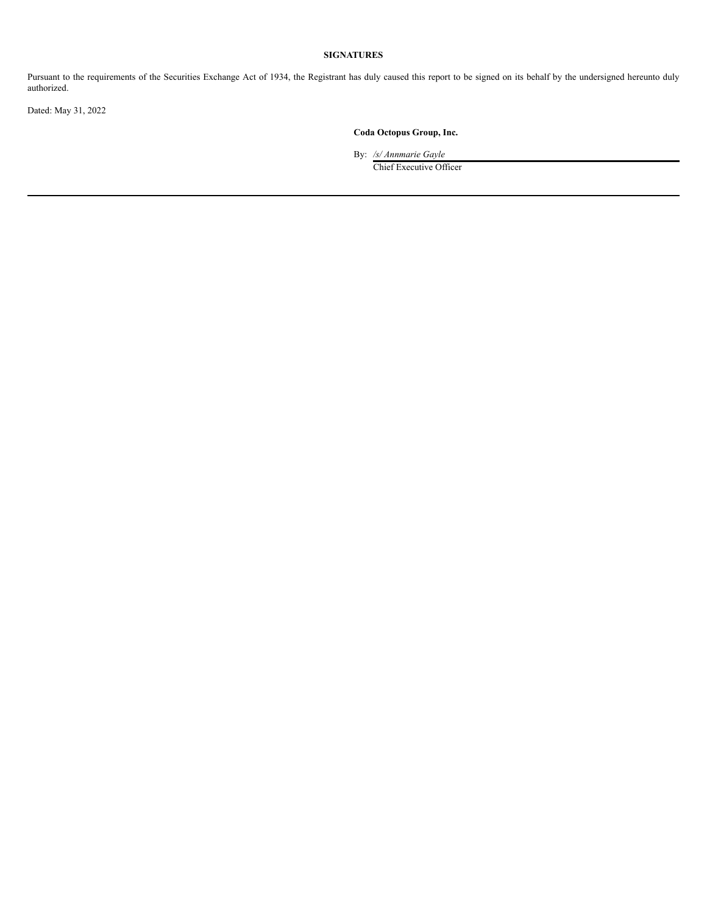## **SIGNATURES**

Pursuant to the requirements of the Securities Exchange Act of 1934, the Registrant has duly caused this report to be signed on its behalf by the undersigned hereunto duly authorized.

Dated: May 31, 2022

## **Coda Octopus Group, Inc.**

By: */s/ Annmarie Gayle*

Chief Executive Officer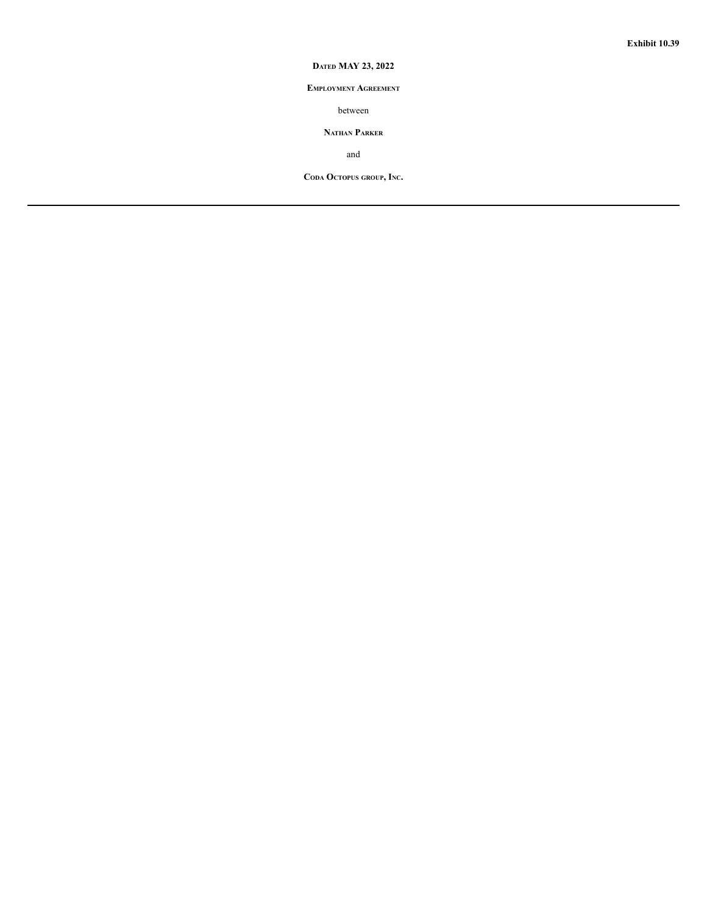## **DATED MAY 23, 2022**

## **EMPLOYMENT AGREEMENT**

between

## **NATHAN PARKER**

and

**CODA OCTOPUS GROUP, INC.**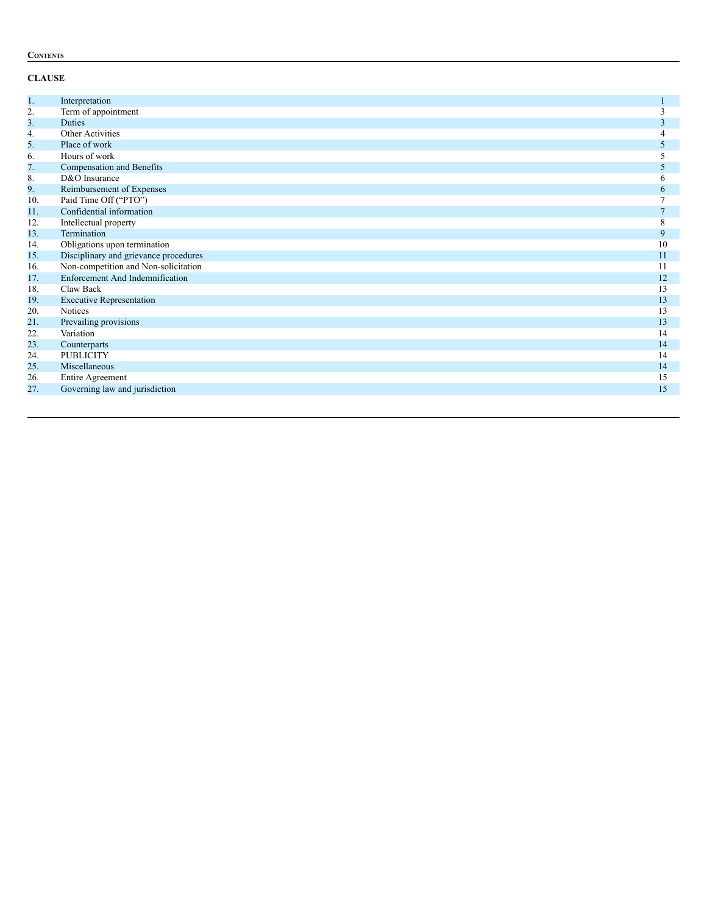## **CONTENTS**

# **CLAUSE**

| 1.             | Interpretation                         |              |
|----------------|----------------------------------------|--------------|
| 2.             | Term of appointment                    | 3            |
| 3 <sub>1</sub> | <b>Duties</b>                          | 3            |
| 4.             | Other Activities                       |              |
| 5.             | Place of work                          | 5            |
| 6.             | Hours of work                          | 5            |
| 7.             | Compensation and Benefits              | 5            |
| 8.             | D&O Insurance                          | O            |
| 9.             | Reimbursement of Expenses              | 6            |
| 10.            | Paid Time Off ("PTO")                  |              |
| 11.            | Confidential information               | $\mathbf{r}$ |
| 12.            | Intellectual property                  | 8            |
| 13.            | Termination                            | 9            |
| 14.            | Obligations upon termination           | 10           |
| 15.            | Disciplinary and grievance procedures  | 11           |
| 16.            | Non-competition and Non-solicitation   | 11           |
| 17.            | <b>Enforcement And Indemnification</b> | 12           |
| 18.            | Claw Back                              | 13           |
| 19.            | <b>Executive Representation</b>        | 13           |
| 20.            | <b>Notices</b>                         | 13           |
| 21.            | Prevailing provisions                  | 13           |
| 22.            | Variation                              | 14           |
| 23.            | Counterparts                           | 14           |
| 24.            | <b>PUBLICITY</b>                       | 14           |
| 25.            | Miscellaneous                          | 14           |
| 26.            | <b>Entire Agreement</b>                | 15           |
| 27.            | Governing law and jurisdiction         | 15           |
|                |                                        |              |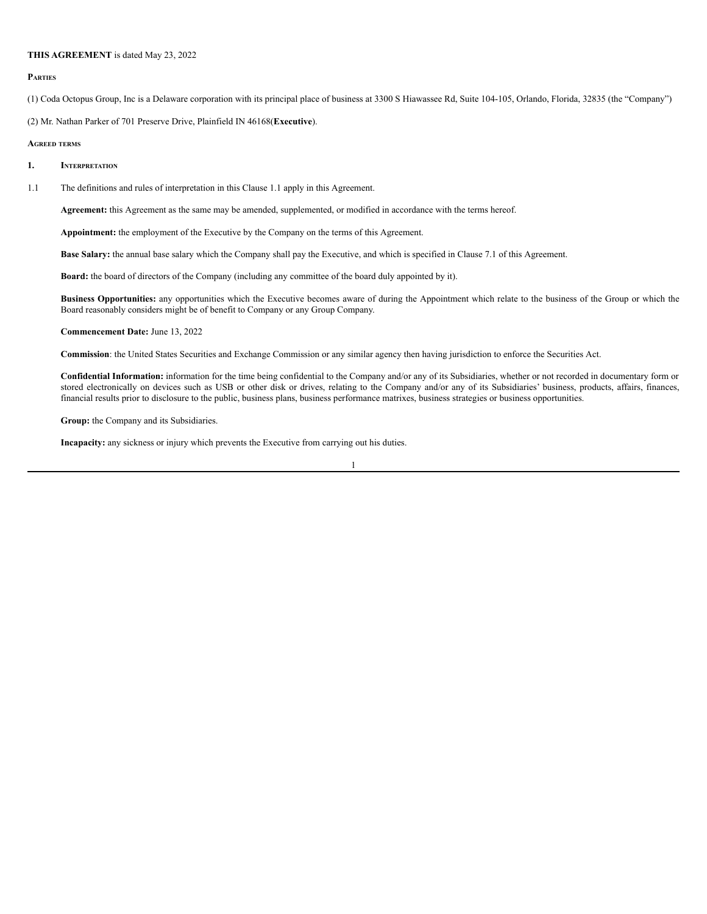#### **THIS AGREEMENT** is dated May 23, 2022

#### **PARTIES**

(1) Coda Octopus Group, Inc is a Delaware corporation with its principal place of business at 3300 S Hiawassee Rd, Suite 104-105, Orlando, Florida, 32835 (the "Company")

(2) Mr. Nathan Parker of 701 Preserve Drive, Plainfield IN 46168(**Executive**).

#### **AGREED TERMS**

- **1. INTERPRETATION**
- 1.1 The definitions and rules of interpretation in this Clause 1.1 apply in this Agreement.

**Agreement:** this Agreement as the same may be amended, supplemented, or modified in accordance with the terms hereof.

**Appointment:** the employment of the Executive by the Company on the terms of this Agreement.

**Base Salary:** the annual base salary which the Company shall pay the Executive, and which is specified in Clause 7.1 of this Agreement.

**Board:** the board of directors of the Company (including any committee of the board duly appointed by it).

**Business Opportunities:** any opportunities which the Executive becomes aware of during the Appointment which relate to the business of the Group or which the Board reasonably considers might be of benefit to Company or any Group Company.

**Commencement Date:** June 13, 2022

**Commission**: the United States Securities and Exchange Commission or any similar agency then having jurisdiction to enforce the Securities Act.

**Confidential Information:** information for the time being confidential to the Company and/or any of its Subsidiaries, whether or not recorded in documentary form or stored electronically on devices such as USB or other disk or drives, relating to the Company and/or any of its Subsidiaries' business, products, affairs, finances, financial results prior to disclosure to the public, business plans, business performance matrixes, business strategies or business opportunities.

**Group:** the Company and its Subsidiaries.

**Incapacity:** any sickness or injury which prevents the Executive from carrying out his duties.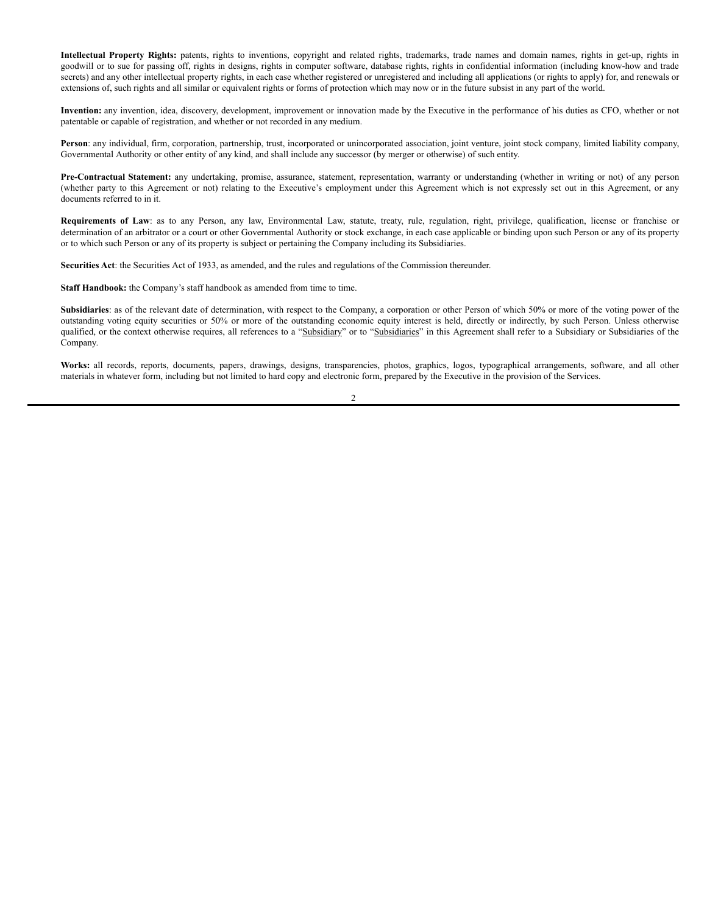**Intellectual Property Rights:** patents, rights to inventions, copyright and related rights, trademarks, trade names and domain names, rights in get-up, rights in goodwill or to sue for passing off, rights in designs, rights in computer software, database rights, rights in confidential information (including know-how and trade secrets) and any other intellectual property rights, in each case whether registered or unregistered and including all applications (or rights to apply) for, and renewals or extensions of, such rights and all similar or equivalent rights or forms of protection which may now or in the future subsist in any part of the world.

**Invention:** any invention, idea, discovery, development, improvement or innovation made by the Executive in the performance of his duties as CFO, whether or not patentable or capable of registration, and whether or not recorded in any medium.

**Person**: any individual, firm, corporation, partnership, trust, incorporated or unincorporated association, joint venture, joint stock company, limited liability company, Governmental Authority or other entity of any kind, and shall include any successor (by merger or otherwise) of such entity.

**Pre-Contractual Statement:** any undertaking, promise, assurance, statement, representation, warranty or understanding (whether in writing or not) of any person (whether party to this Agreement or not) relating to the Executive's employment under this Agreement which is not expressly set out in this Agreement, or any documents referred to in it.

**Requirements of Law**: as to any Person, any law, Environmental Law, statute, treaty, rule, regulation, right, privilege, qualification, license or franchise or determination of an arbitrator or a court or other Governmental Authority or stock exchange, in each case applicable or binding upon such Person or any of its property or to which such Person or any of its property is subject or pertaining the Company including its Subsidiaries.

**Securities Act**: the Securities Act of 1933, as amended, and the rules and regulations of the Commission thereunder.

**Staff Handbook:** the Company's staff handbook as amended from time to time.

Subsidiaries: as of the relevant date of determination, with respect to the Company, a corporation or other Person of which 50% or more of the voting power of the outstanding voting equity securities or 50% or more of the outstanding economic equity interest is held, directly or indirectly, by such Person. Unless otherwise qualified, or the context otherwise requires, all references to a "Subsidiary" or to "Subsidiaries" in this Agreement shall refer to a Subsidiary or Subsidiaries of the Company.

**Works:** all records, reports, documents, papers, drawings, designs, transparencies, photos, graphics, logos, typographical arrangements, software, and all other materials in whatever form, including but not limited to hard copy and electronic form, prepared by the Executive in the provision of the Services.

 $\mathfrak{D}$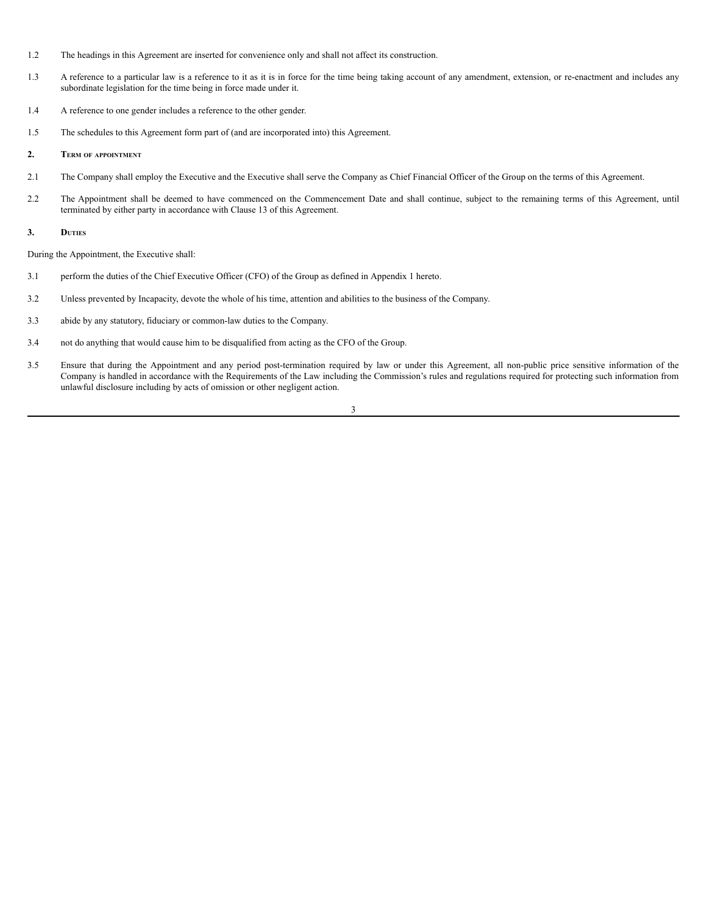- 1.2 The headings in this Agreement are inserted for convenience only and shall not affect its construction.
- 1.3 A reference to a particular law is a reference to it as it is in force for the time being taking account of any amendment, extension, or re-enactment and includes any subordinate legislation for the time being in force made under it.
- 1.4 A reference to one gender includes a reference to the other gender.
- 1.5 The schedules to this Agreement form part of (and are incorporated into) this Agreement.

#### **2. TERM OF APPOINTMENT**

- 2.1 The Company shall employ the Executive and the Executive shall serve the Company as Chief Financial Officer of the Group on the terms of this Agreement.
- 2.2 The Appointment shall be deemed to have commenced on the Commencement Date and shall continue, subject to the remaining terms of this Agreement, until terminated by either party in accordance with Clause 13 of this Agreement.

#### **3. DUTIES**

During the Appointment, the Executive shall:

- 3.1 perform the duties of the Chief Executive Officer (CFO) of the Group as defined in Appendix 1 hereto.
- 3.2 Unless prevented by Incapacity, devote the whole of his time, attention and abilities to the business of the Company.
- 3.3 abide by any statutory, fiduciary or common-law duties to the Company.
- 3.4 not do anything that would cause him to be disqualified from acting as the CFO of the Group.
- 3.5 Ensure that during the Appointment and any period post-termination required by law or under this Agreement, all non-public price sensitive information of the Company is handled in accordance with the Requirements of the Law including the Commission's rules and regulations required for protecting such information from unlawful disclosure including by acts of omission or other negligent action.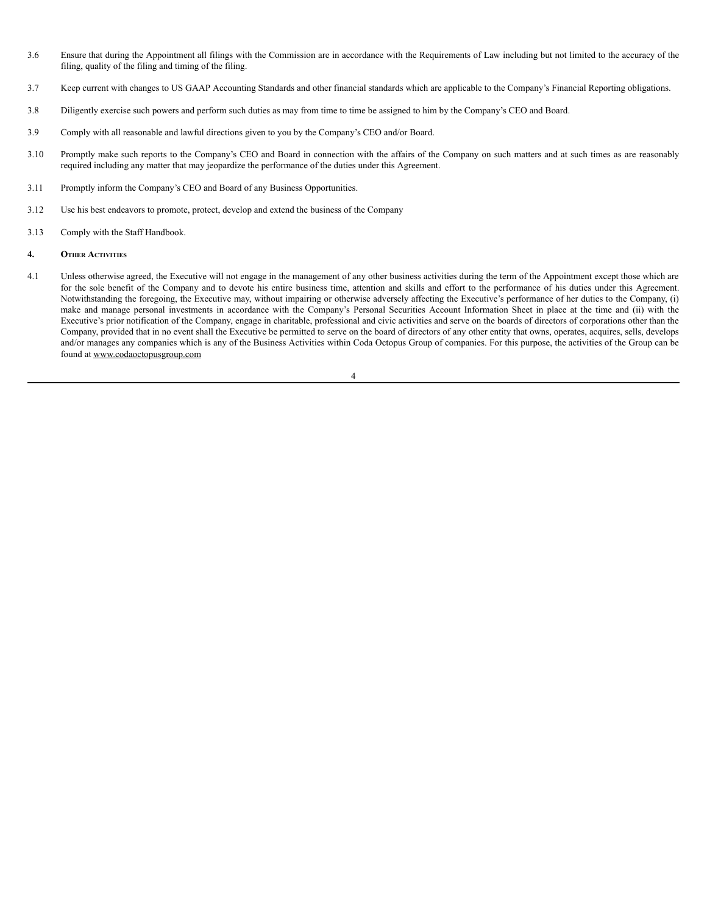- 3.6 Ensure that during the Appointment all filings with the Commission are in accordance with the Requirements of Law including but not limited to the accuracy of the filing, quality of the filing and timing of the filing.
- 3.7 Keep current with changes to US GAAP Accounting Standards and other financial standards which are applicable to the Company's Financial Reporting obligations.
- 3.8 Diligently exercise such powers and perform such duties as may from time to time be assigned to him by the Company's CEO and Board.
- 3.9 Comply with all reasonable and lawful directions given to you by the Company's CEO and/or Board.
- 3.10 Promptly make such reports to the Company's CEO and Board in connection with the affairs of the Company on such matters and at such times as are reasonably required including any matter that may jeopardize the performance of the duties under this Agreement.
- 3.11 Promptly inform the Company's CEO and Board of any Business Opportunities.
- 3.12 Use his best endeavors to promote, protect, develop and extend the business of the Company
- 3.13 Comply with the Staff Handbook.
- **4. OTHER ACTIVITIES**
- 4.1 Unless otherwise agreed, the Executive will not engage in the management of any other business activities during the term of the Appointment except those which are for the sole benefit of the Company and to devote his entire business time, attention and skills and effort to the performance of his duties under this Agreement. Notwithstanding the foregoing, the Executive may, without impairing or otherwise adversely affecting the Executive's performance of her duties to the Company, (i) make and manage personal investments in accordance with the Company's Personal Securities Account Information Sheet in place at the time and (ii) with the Executive's prior notification of the Company, engage in charitable, professional and civic activities and serve on the boards of directors of corporations other than the Company, provided that in no event shall the Executive be permitted to serve on the board of directors of any other entity that owns, operates, acquires, sells, develops and/or manages any companies which is any of the Business Activities within Coda Octopus Group of companies. For this purpose, the activities of the Group can be found at www.codaoctopusgroup.com

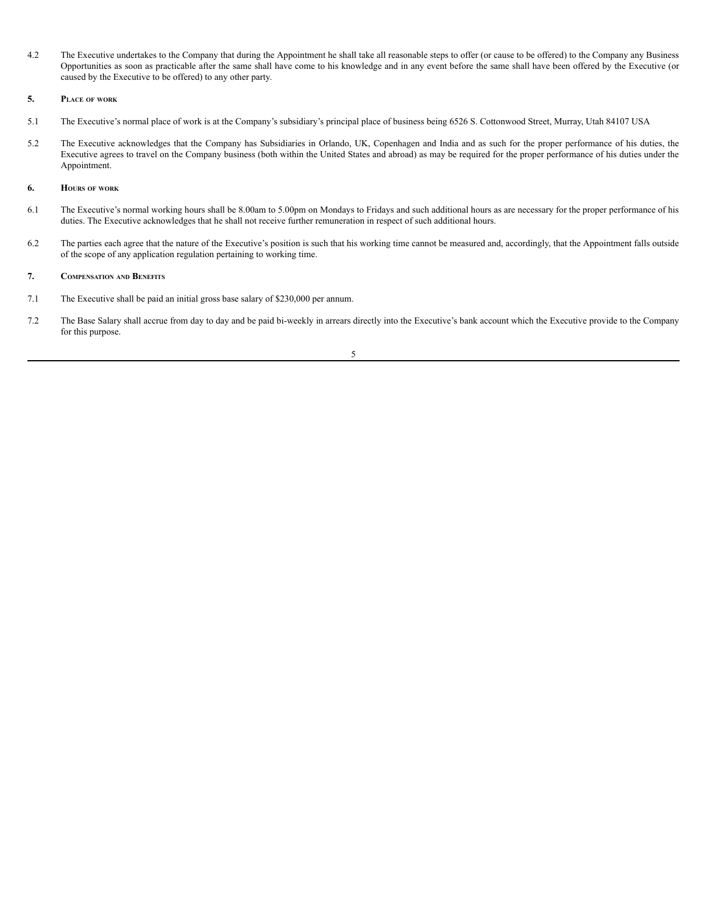4.2 The Executive undertakes to the Company that during the Appointment he shall take all reasonable steps to offer (or cause to be offered) to the Company any Business Opportunities as soon as practicable after the same shall have come to his knowledge and in any event before the same shall have been offered by the Executive (or caused by the Executive to be offered) to any other party.

### **5. PLACE OF WORK**

- 5.1 The Executive's normal place of work is at the Company's subsidiary's principal place of business being 6526 S. Cottonwood Street, Murray, Utah 84107 USA
- 5.2 The Executive acknowledges that the Company has Subsidiaries in Orlando, UK, Copenhagen and India and as such for the proper performance of his duties, the Executive agrees to travel on the Company business (both within the United States and abroad) as may be required for the proper performance of his duties under the Appointment.

#### **6. HOURS OF WORK**

- 6.1 The Executive's normal working hours shall be 8.00am to 5.00pm on Mondays to Fridays and such additional hours as are necessary for the proper performance of his duties. The Executive acknowledges that he shall not receive further remuneration in respect of such additional hours.
- 6.2 The parties each agree that the nature of the Executive's position is such that his working time cannot be measured and, accordingly, that the Appointment falls outside of the scope of any application regulation pertaining to working time.

#### **7. COMPENSATION AND BENEFITS**

- 7.1 The Executive shall be paid an initial gross base salary of \$230,000 per annum.
- 7.2 The Base Salary shall accrue from day to day and be paid bi-weekly in arrears directly into the Executive's bank account which the Executive provide to the Company for this purpose.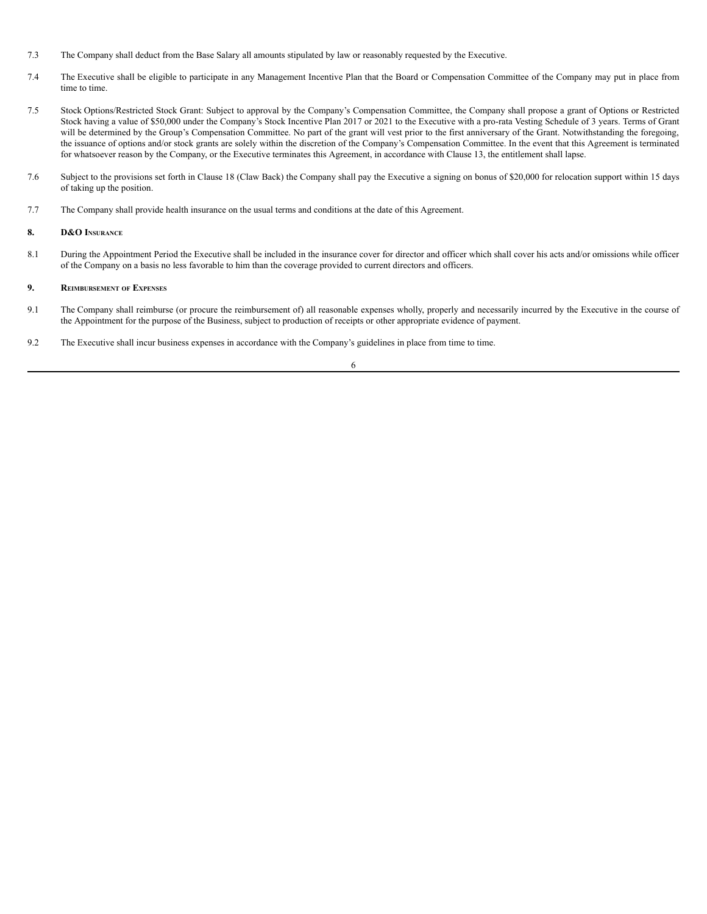- 7.3 The Company shall deduct from the Base Salary all amounts stipulated by law or reasonably requested by the Executive.
- 7.4 The Executive shall be eligible to participate in any Management Incentive Plan that the Board or Compensation Committee of the Company may put in place from time to time.
- 7.5 Stock Options/Restricted Stock Grant: Subject to approval by the Company's Compensation Committee, the Company shall propose a grant of Options or Restricted Stock having a value of \$50,000 under the Company's Stock Incentive Plan 2017 or 2021 to the Executive with a pro-rata Vesting Schedule of 3 years. Terms of Grant will be determined by the Group's Compensation Committee. No part of the grant will vest prior to the first anniversary of the Grant. Notwithstanding the foregoing, the issuance of options and/or stock grants are solely within the discretion of the Company's Compensation Committee. In the event that this Agreement is terminated for whatsoever reason by the Company, or the Executive terminates this Agreement, in accordance with Clause 13, the entitlement shall lapse.
- 7.6 Subject to the provisions set forth in Clause 18 (Claw Back) the Company shall pay the Executive a signing on bonus of \$20,000 for relocation support within 15 days of taking up the position.
- 7.7 The Company shall provide health insurance on the usual terms and conditions at the date of this Agreement.

### **8. D&O INSURANCE**

8.1 During the Appointment Period the Executive shall be included in the insurance cover for director and officer which shall cover his acts and/or omissions while officer of the Company on a basis no less favorable to him than the coverage provided to current directors and officers.

## **9. REIMBURSEMENT OF EXPENSES**

- 9.1 The Company shall reimburse (or procure the reimbursement of) all reasonable expenses wholly, properly and necessarily incurred by the Executive in the course of the Appointment for the purpose of the Business, subject to production of receipts or other appropriate evidence of payment.
- 9.2 The Executive shall incur business expenses in accordance with the Company's guidelines in place from time to time.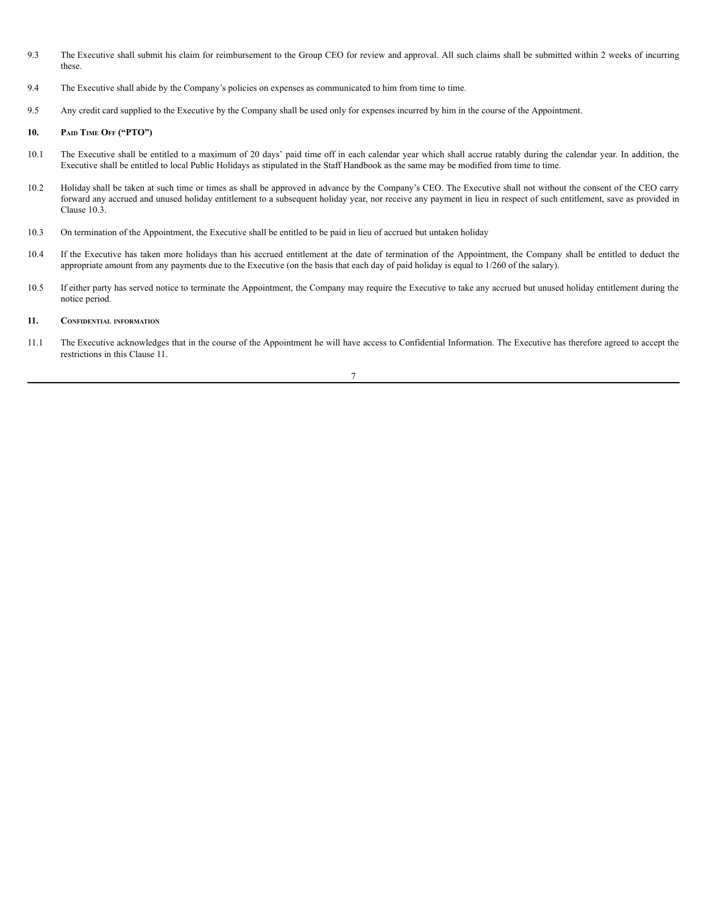- 9.3 The Executive shall submit his claim for reimbursement to the Group CEO for review and approval. All such claims shall be submitted within 2 weeks of incurring these.
- 9.4 The Executive shall abide by the Company's policies on expenses as communicated to him from time to time.
- 9.5 Any credit card supplied to the Executive by the Company shall be used only for expenses incurred by him in the course of the Appointment.

## **10. PAID TIME OFF ("PTO")**

- 10.1 The Executive shall be entitled to a maximum of 20 days' paid time off in each calendar year which shall accrue ratably during the calendar year. In addition, the Executive shall be entitled to local Public Holidays as stipulated in the Staff Handbook as the same may be modified from time to time.
- 10.2 Holiday shall be taken at such time or times as shall be approved in advance by the Company's CEO. The Executive shall not without the consent of the CEO carry forward any accrued and unused holiday entitlement to a subsequent holiday year, nor receive any payment in lieu in respect of such entitlement, save as provided in Clause 10.3.
- 10.3 On termination of the Appointment, the Executive shall be entitled to be paid in lieu of accrued but untaken holiday
- 10.4 If the Executive has taken more holidays than his accrued entitlement at the date of termination of the Appointment, the Company shall be entitled to deduct the appropriate amount from any payments due to the Executive (on the basis that each day of paid holiday is equal to 1/260 of the salary).
- 10.5 If either party has served notice to terminate the Appointment, the Company may require the Executive to take any accrued but unused holiday entitlement during the notice period.

#### **11. CONFIDENTIAL INFORMATION**

11.1 The Executive acknowledges that in the course of the Appointment he will have access to Confidential Information. The Executive has therefore agreed to accept the restrictions in this Clause 11.

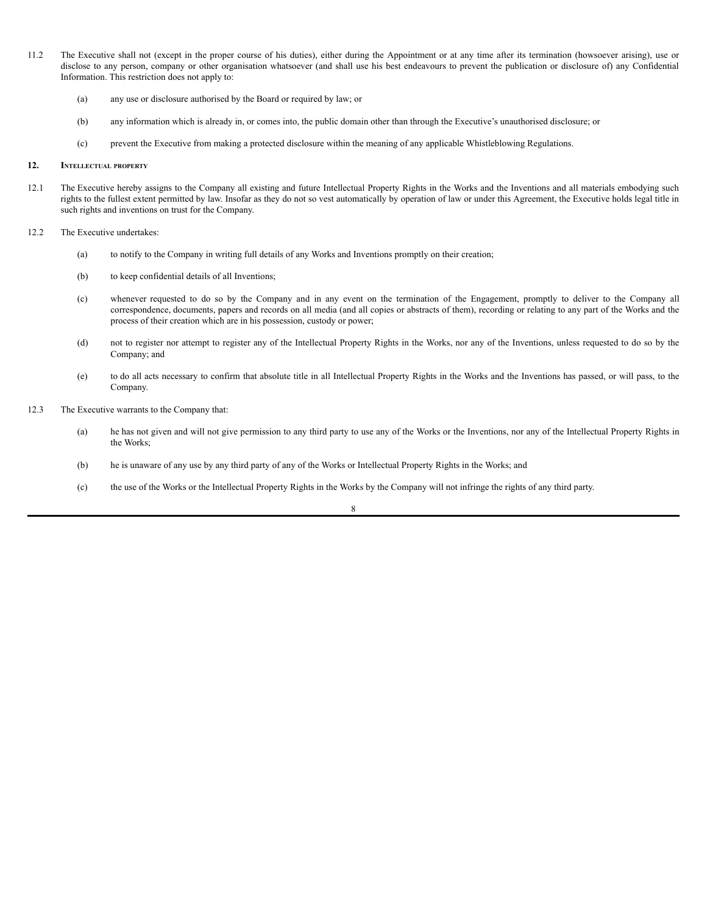- 11.2 The Executive shall not (except in the proper course of his duties), either during the Appointment or at any time after its termination (howsoever arising), use or disclose to any person, company or other organisation whatsoever (and shall use his best endeavours to prevent the publication or disclosure of) any Confidential Information. This restriction does not apply to:
	- (a) any use or disclosure authorised by the Board or required by law; or
	- (b) any information which is already in, or comes into, the public domain other than through the Executive's unauthorised disclosure; or
	- (c) prevent the Executive from making a protected disclosure within the meaning of any applicable Whistleblowing Regulations.

## **12. INTELLECTUAL PROPERTY**

- 12.1 The Executive hereby assigns to the Company all existing and future Intellectual Property Rights in the Works and the Inventions and all materials embodying such rights to the fullest extent permitted by law. Insofar as they do not so vest automatically by operation of law or under this Agreement, the Executive holds legal title in such rights and inventions on trust for the Company.
- 12.2 The Executive undertakes:
	- (a) to notify to the Company in writing full details of any Works and Inventions promptly on their creation;
	- (b) to keep confidential details of all Inventions;
	- (c) whenever requested to do so by the Company and in any event on the termination of the Engagement, promptly to deliver to the Company all correspondence, documents, papers and records on all media (and all copies or abstracts of them), recording or relating to any part of the Works and the process of their creation which are in his possession, custody or power;
	- (d) not to register nor attempt to register any of the Intellectual Property Rights in the Works, nor any of the Inventions, unless requested to do so by the Company; and
	- (e) to do all acts necessary to confirm that absolute title in all Intellectual Property Rights in the Works and the Inventions has passed, or will pass, to the Company.
- 12.3 The Executive warrants to the Company that:
	- (a) he has not given and will not give permission to any third party to use any of the Works or the Inventions, nor any of the Intellectual Property Rights in the Works;
	- (b) he is unaware of any use by any third party of any of the Works or Intellectual Property Rights in the Works; and
	- (c) the use of the Works or the Intellectual Property Rights in the Works by the Company will not infringe the rights of any third party.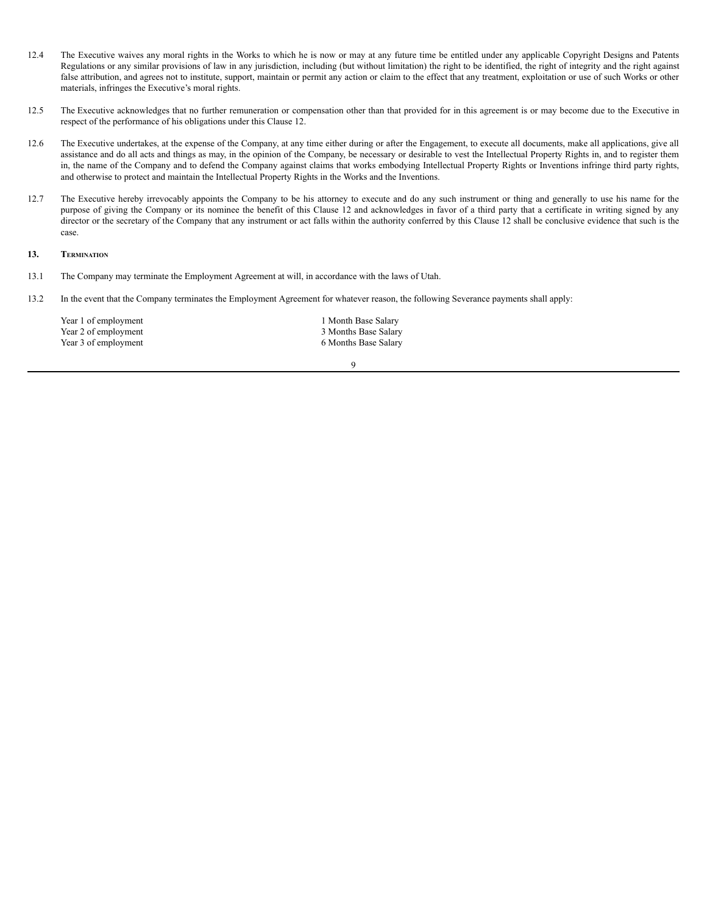- 12.4 The Executive waives any moral rights in the Works to which he is now or may at any future time be entitled under any applicable Copyright Designs and Patents Regulations or any similar provisions of law in any jurisdiction, including (but without limitation) the right to be identified, the right of integrity and the right against false attribution, and agrees not to institute, support, maintain or permit any action or claim to the effect that any treatment, exploitation or use of such Works or other materials, infringes the Executive's moral rights.
- 12.5 The Executive acknowledges that no further remuneration or compensation other than that provided for in this agreement is or may become due to the Executive in respect of the performance of his obligations under this Clause 12.
- 12.6 The Executive undertakes, at the expense of the Company, at any time either during or after the Engagement, to execute all documents, make all applications, give all assistance and do all acts and things as may, in the opinion of the Company, be necessary or desirable to vest the Intellectual Property Rights in, and to register them in, the name of the Company and to defend the Company against claims that works embodying Intellectual Property Rights or Inventions infringe third party rights, and otherwise to protect and maintain the Intellectual Property Rights in the Works and the Inventions.
- 12.7 The Executive hereby irrevocably appoints the Company to be his attorney to execute and do any such instrument or thing and generally to use his name for the purpose of giving the Company or its nominee the benefit of this Clause 12 and acknowledges in favor of a third party that a certificate in writing signed by any director or the secretary of the Company that any instrument or act falls within the authority conferred by this Clause 12 shall be conclusive evidence that such is the case.

## **13. TERMINATION**

- 13.1 The Company may terminate the Employment Agreement at will, in accordance with the laws of Utah.
- 13.2 In the event that the Company terminates the Employment Agreement for whatever reason, the following Severance payments shall apply:

| Year 1 of employment | 1 Month Base Salary  |
|----------------------|----------------------|
| Year 2 of employment | 3 Months Base Salary |
| Year 3 of employment | 6 Months Base Salary |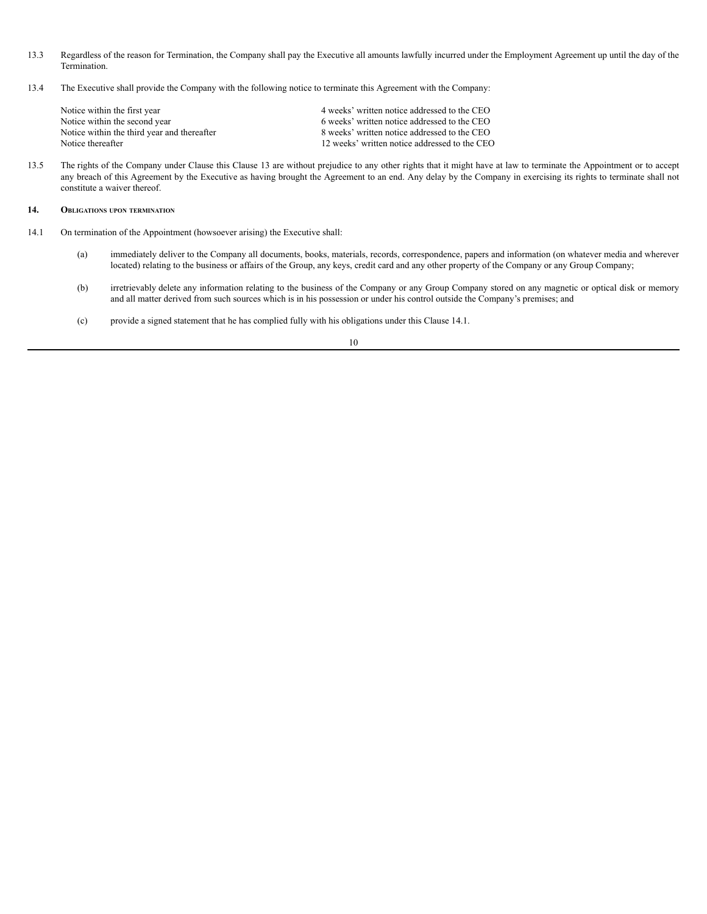- 13.3 Regardless of the reason for Termination, the Company shall pay the Executive all amounts lawfully incurred under the Employment Agreement up until the day of the Termination.
- 13.4 The Executive shall provide the Company with the following notice to terminate this Agreement with the Company:

| Notice within the first year                | 4 weeks' written notice addressed to the CEO  |
|---------------------------------------------|-----------------------------------------------|
| Notice within the second year               | 6 weeks' written notice addressed to the CEO  |
| Notice within the third year and thereafter | 8 weeks' written notice addressed to the CEO  |
| Notice thereafter                           | 12 weeks' written notice addressed to the CEO |

13.5 The rights of the Company under Clause this Clause 13 are without prejudice to any other rights that it might have at law to terminate the Appointment or to accept any breach of this Agreement by the Executive as having brought the Agreement to an end. Any delay by the Company in exercising its rights to terminate shall not constitute a waiver thereof.

### **14. OBLIGATIONS UPON TERMINATION**

- 14.1 On termination of the Appointment (howsoever arising) the Executive shall:
	- (a) immediately deliver to the Company all documents, books, materials, records, correspondence, papers and information (on whatever media and wherever located) relating to the business or affairs of the Group, any keys, credit card and any other property of the Company or any Group Company;
	- (b) irretrievably delete any information relating to the business of the Company or any Group Company stored on any magnetic or optical disk or memory and all matter derived from such sources which is in his possession or under his control outside the Company's premises; and
	- (c) provide a signed statement that he has complied fully with his obligations under this Clause 14.1.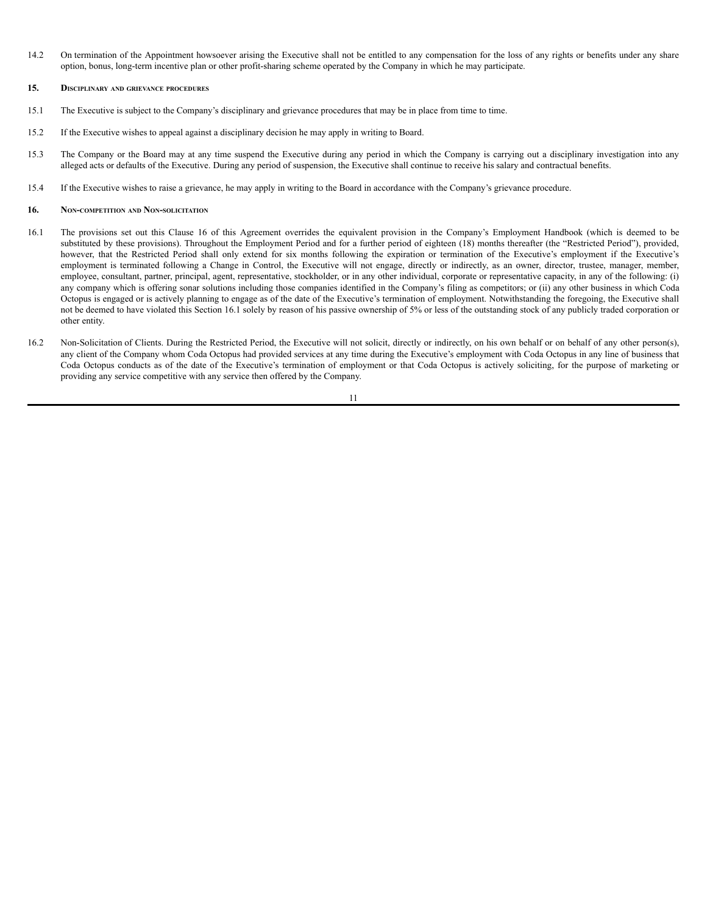14.2 On termination of the Appointment howsoever arising the Executive shall not be entitled to any compensation for the loss of any rights or benefits under any share option, bonus, long-term incentive plan or other profit-sharing scheme operated by the Company in which he may participate.

#### **15. DISCIPLINARY AND GRIEVANCE PROCEDURES**

- 15.1 The Executive is subject to the Company's disciplinary and grievance procedures that may be in place from time to time.
- 15.2 If the Executive wishes to appeal against a disciplinary decision he may apply in writing to Board.
- 15.3 The Company or the Board may at any time suspend the Executive during any period in which the Company is carrying out a disciplinary investigation into any alleged acts or defaults of the Executive. During any period of suspension, the Executive shall continue to receive his salary and contractual benefits.
- 15.4 If the Executive wishes to raise a grievance, he may apply in writing to the Board in accordance with the Company's grievance procedure.

#### **16. NON-COMPETITION AND NON-SOLICITATION**

- 16.1 The provisions set out this Clause 16 of this Agreement overrides the equivalent provision in the Company's Employment Handbook (which is deemed to be substituted by these provisions). Throughout the Employment Period and for a further period of eighteen (18) months thereafter (the "Restricted Period"), provided, however, that the Restricted Period shall only extend for six months following the expiration or termination of the Executive's employment if the Executive's employment is terminated following a Change in Control, the Executive will not engage, directly or indirectly, as an owner, director, trustee, manager, member, employee, consultant, partner, principal, agent, representative, stockholder, or in any other individual, corporate or representative capacity, in any of the following: (i) any company which is offering sonar solutions including those companies identified in the Company's filing as competitors; or (ii) any other business in which Coda Octopus is engaged or is actively planning to engage as of the date of the Executive's termination of employment. Notwithstanding the foregoing, the Executive shall not be deemed to have violated this Section 16.1 solely by reason of his passive ownership of 5% or less of the outstanding stock of any publicly traded corporation or other entity.
- 16.2 Non-Solicitation of Clients. During the Restricted Period, the Executive will not solicit, directly or indirectly, on his own behalf or on behalf of any other person(s), any client of the Company whom Coda Octopus had provided services at any time during the Executive's employment with Coda Octopus in any line of business that Coda Octopus conducts as of the date of the Executive's termination of employment or that Coda Octopus is actively soliciting, for the purpose of marketing or providing any service competitive with any service then offered by the Company.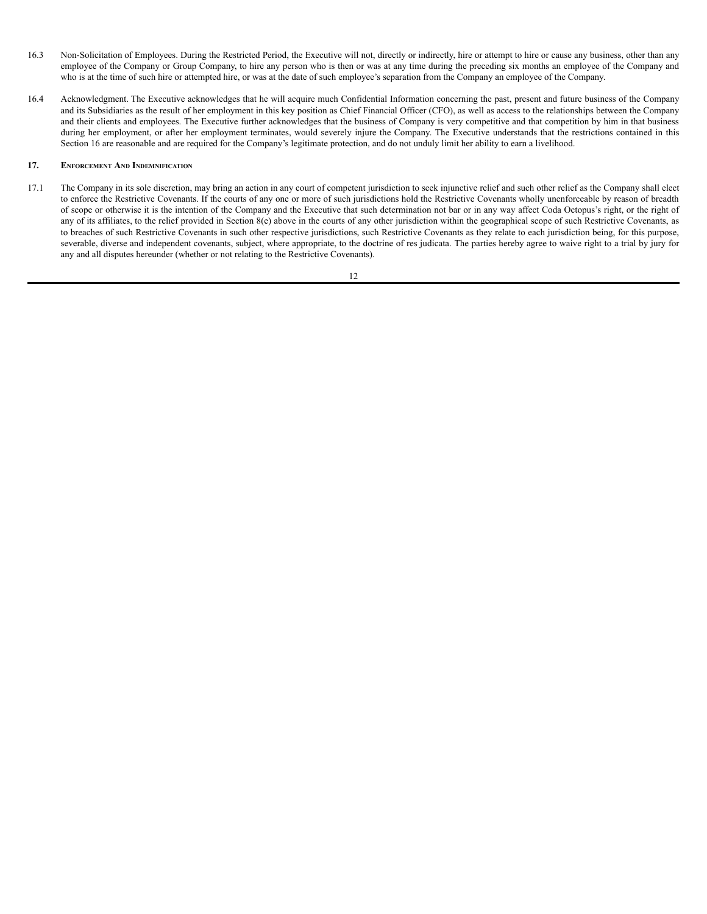- 16.3 Non-Solicitation of Employees. During the Restricted Period, the Executive will not, directly or indirectly, hire or attempt to hire or cause any business, other than any employee of the Company or Group Company, to hire any person who is then or was at any time during the preceding six months an employee of the Company and who is at the time of such hire or attempted hire, or was at the date of such employee's separation from the Company an employee of the Company.
- 16.4 Acknowledgment. The Executive acknowledges that he will acquire much Confidential Information concerning the past, present and future business of the Company and its Subsidiaries as the result of her employment in this key position as Chief Financial Officer (CFO), as well as access to the relationships between the Company and their clients and employees. The Executive further acknowledges that the business of Company is very competitive and that competition by him in that business during her employment, or after her employment terminates, would severely injure the Company. The Executive understands that the restrictions contained in this Section 16 are reasonable and are required for the Company's legitimate protection, and do not unduly limit her ability to earn a livelihood.

## **17. ENFORCEMENT AND INDEMNIFICATION**

17.1 The Company in its sole discretion, may bring an action in any court of competent jurisdiction to seek injunctive relief and such other relief as the Company shall elect to enforce the Restrictive Covenants. If the courts of any one or more of such jurisdictions hold the Restrictive Covenants wholly unenforceable by reason of breadth of scope or otherwise it is the intention of the Company and the Executive that such determination not bar or in any way affect Coda Octopus's right, or the right of any of its affiliates, to the relief provided in Section 8(e) above in the courts of any other jurisdiction within the geographical scope of such Restrictive Covenants, as to breaches of such Restrictive Covenants in such other respective jurisdictions, such Restrictive Covenants as they relate to each jurisdiction being, for this purpose, severable, diverse and independent covenants, subject, where appropriate, to the doctrine of res judicata. The parties hereby agree to waive right to a trial by jury for any and all disputes hereunder (whether or not relating to the Restrictive Covenants).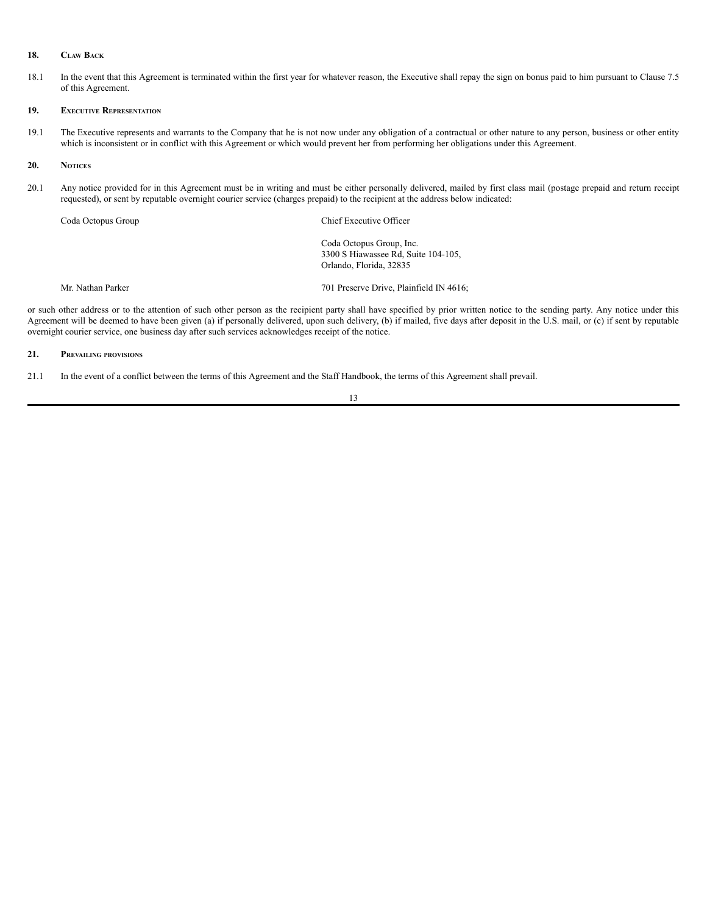#### **18. CLAW BACK**

18.1 In the event that this Agreement is terminated within the first year for whatever reason, the Executive shall repay the sign on bonus paid to him pursuant to Clause 7.5 of this Agreement.

## **19. EXECUTIVE REPRESENTATION**

19.1 The Executive represents and warrants to the Company that he is not now under any obligation of a contractual or other nature to any person, business or other entity which is inconsistent or in conflict with this Agreement or which would prevent her from performing her obligations under this Agreement.

#### **20. NOTICES**

20.1 Any notice provided for in this Agreement must be in writing and must be either personally delivered, mailed by first class mail (postage prepaid and return receipt requested), or sent by reputable overnight courier service (charges prepaid) to the recipient at the address below indicated:

Coda Octopus Group Chief Executive Officer

Coda Octopus Group, Inc. 3300 S Hiawassee Rd, Suite 104-105, Orlando, Florida, 32835

Mr. Nathan Parker 701 Preserve Drive, Plainfield IN 4616;

or such other address or to the attention of such other person as the recipient party shall have specified by prior written notice to the sending party. Any notice under this Agreement will be deemed to have been given (a) if personally delivered, upon such delivery, (b) if mailed, five days after deposit in the U.S. mail, or (c) if sent by reputable overnight courier service, one business day after such services acknowledges receipt of the notice.

## **21. PREVAILING PROVISIONS**

21.1 In the event of a conflict between the terms of this Agreement and the Staff Handbook, the terms of this Agreement shall prevail.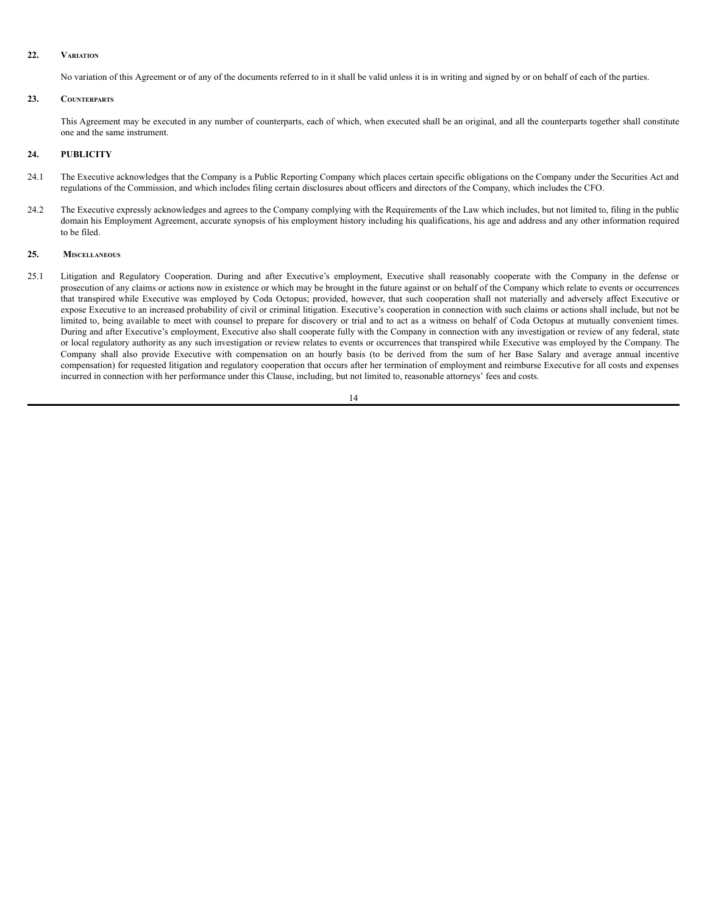#### **22. VARIATION**

No variation of this Agreement or of any of the documents referred to in it shall be valid unless it is in writing and signed by or on behalf of each of the parties.

## **23. COUNTERPARTS**

This Agreement may be executed in any number of counterparts, each of which, when executed shall be an original, and all the counterparts together shall constitute one and the same instrument.

## **24. PUBLICITY**

- 24.1 The Executive acknowledges that the Company is a Public Reporting Company which places certain specific obligations on the Company under the Securities Act and regulations of the Commission, and which includes filing certain disclosures about officers and directors of the Company, which includes the CFO.
- 24.2 The Executive expressly acknowledges and agrees to the Company complying with the Requirements of the Law which includes, but not limited to, filing in the public domain his Employment Agreement, accurate synopsis of his employment history including his qualifications, his age and address and any other information required to be filed.

## **25. MISCELLANEOUS**

25.1 Litigation and Regulatory Cooperation. During and after Executive's employment, Executive shall reasonably cooperate with the Company in the defense or prosecution of any claims or actions now in existence or which may be brought in the future against or on behalf of the Company which relate to events or occurrences that transpired while Executive was employed by Coda Octopus; provided, however, that such cooperation shall not materially and adversely affect Executive or expose Executive to an increased probability of civil or criminal litigation. Executive's cooperation in connection with such claims or actions shall include, but not be limited to, being available to meet with counsel to prepare for discovery or trial and to act as a witness on behalf of Coda Octopus at mutually convenient times. During and after Executive's employment, Executive also shall cooperate fully with the Company in connection with any investigation or review of any federal, state or local regulatory authority as any such investigation or review relates to events or occurrences that transpired while Executive was employed by the Company. The Company shall also provide Executive with compensation on an hourly basis (to be derived from the sum of her Base Salary and average annual incentive compensation) for requested litigation and regulatory cooperation that occurs after her termination of employment and reimburse Executive for all costs and expenses incurred in connection with her performance under this Clause, including, but not limited to, reasonable attorneys' fees and costs.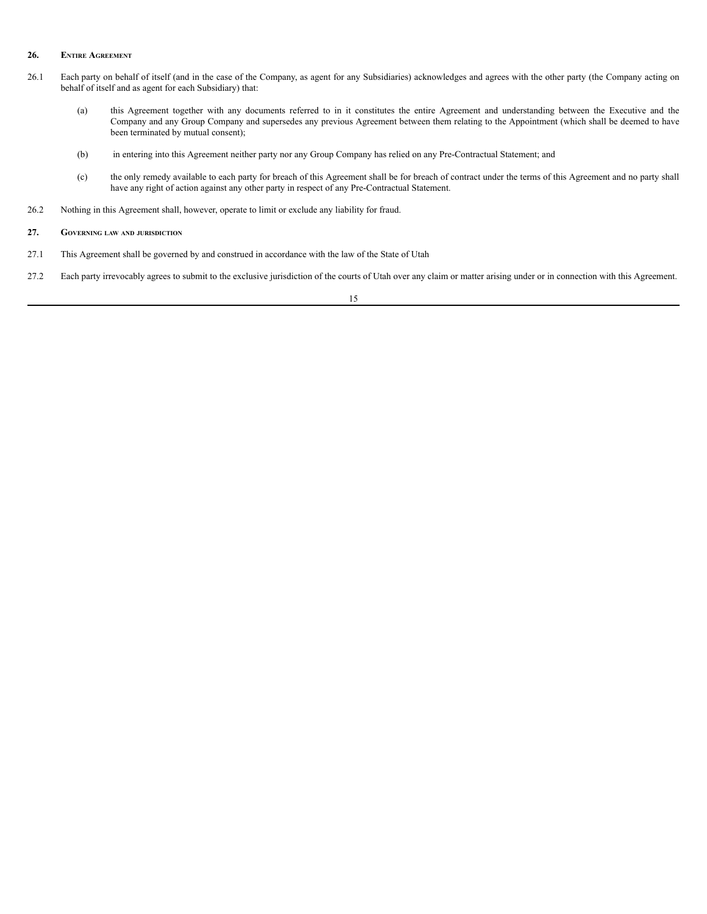#### **26. ENTIRE AGREEMENT**

- 26.1 Each party on behalf of itself (and in the case of the Company, as agent for any Subsidiaries) acknowledges and agrees with the other party (the Company acting on behalf of itself and as agent for each Subsidiary) that:
	- (a) this Agreement together with any documents referred to in it constitutes the entire Agreement and understanding between the Executive and the Company and any Group Company and supersedes any previous Agreement between them relating to the Appointment (which shall be deemed to have been terminated by mutual consent);
	- (b) in entering into this Agreement neither party nor any Group Company has relied on any Pre-Contractual Statement; and
	- (c) the only remedy available to each party for breach of this Agreement shall be for breach of contract under the terms of this Agreement and no party shall have any right of action against any other party in respect of any Pre-Contractual Statement.
- 26.2 Nothing in this Agreement shall, however, operate to limit or exclude any liability for fraud.

- 27.1 This Agreement shall be governed by and construed in accordance with the law of the State of Utah
- 27.2 Each party irrevocably agrees to submit to the exclusive jurisdiction of the courts of Utah over any claim or matter arising under or in connection with this Agreement.

**<sup>27.</sup> GOVERNING LAW AND JURISDICTION**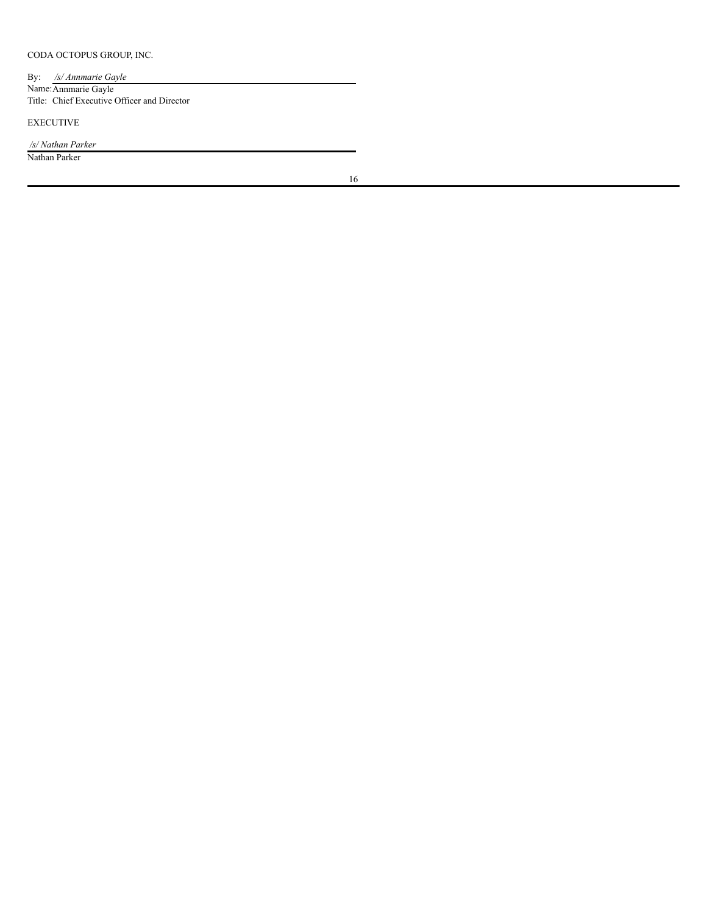CODA OCTOPUS GROUP, INC.

By: */s/ Annmarie Gayle* Name:Annmarie Gayle Title: Chief Executive Officer and Director

EXECUTIVE

*/s/ Nathan Parker*

Nathan Parker